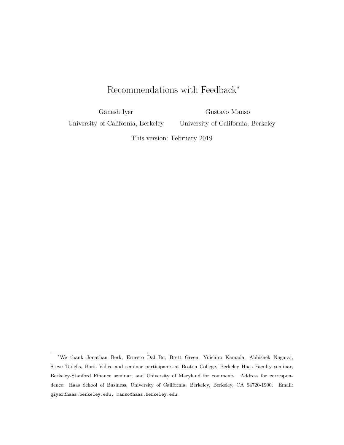# Recommendations with Feedback<sup>∗</sup>

Ganesh Iyer

University of California, Berkeley

Gustavo Manso University of California, Berkeley

This version: February 2019

<sup>∗</sup>We thank Jonathan Berk, Ernesto Dal Bo, Brett Green, Yuichiro Kamada, Abhishek Nagaraj, Steve Tadelis, Boris Vallee and seminar participants at Boston College, Berkeley Haas Faculty seminar, Berkeley-Stanford Finance seminar, and University of Maryland for comments. Address for correspondence: Haas School of Business, University of California, Berkeley, Berkeley, CA 94720-1900. Email: giyer@haas.berkeley.edu, manso@haas.berkeley.edu.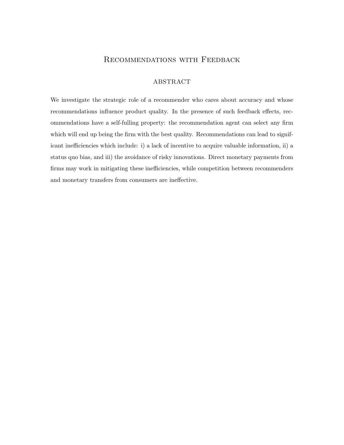## Recommendations with Feedback

### ABSTRACT

We investigate the strategic role of a recommender who cares about accuracy and whose recommendations influence product quality. In the presence of such feedback effects, recommendations have a self-fulling property: the recommendation agent can select any firm which will end up being the firm with the best quality. Recommendations can lead to significant inefficiencies which include: i) a lack of incentive to acquire valuable information, ii) a status quo bias, and iii) the avoidance of risky innovations. Direct monetary payments from firms may work in mitigating these inefficiencies, while competition between recommenders and monetary transfers from consumers are ineffective.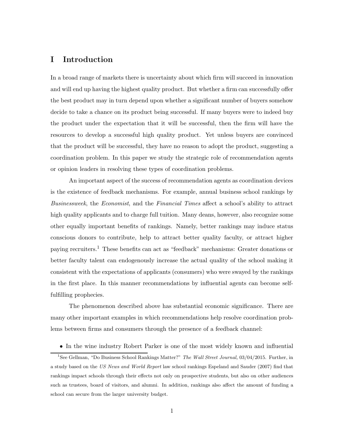## I Introduction

In a broad range of markets there is uncertainty about which firm will succeed in innovation and will end up having the highest quality product. But whether a firm can successfully offer the best product may in turn depend upon whether a significant number of buyers somehow decide to take a chance on its product being successful. If many buyers were to indeed buy the product under the expectation that it will be successful, then the firm will have the resources to develop a successful high quality product. Yet unless buyers are convinced that the product will be successful, they have no reason to adopt the product, suggesting a coordination problem. In this paper we study the strategic role of recommendation agents or opinion leaders in resolving these types of coordination problems.

An important aspect of the success of recommendation agents as coordination devices is the existence of feedback mechanisms. For example, annual business school rankings by *Businessweek*, the *Economist*, and the *Financial Times* affect a school's ability to attract high quality applicants and to charge full tuition. Many deans, however, also recognize some other equally important benefits of rankings. Namely, better rankings may induce status conscious donors to contribute, help to attract better quality faculty, or attract higher paying recruiters.<sup>1</sup> These benefits can act as "feedback" mechanisms: Greater donations or better faculty talent can endogenously increase the actual quality of the school making it consistent with the expectations of applicants (consumers) who were swayed by the rankings in the first place. In this manner recommendations by influential agents can become selffulfilling prophecies.

The phenomenon described above has substantial economic significance. There are many other important examples in which recommendations help resolve coordination problems between firms and consumers through the presence of a feedback channel:

• In the wine industry Robert Parker is one of the most widely known and influential

<sup>&</sup>lt;sup>1</sup>See Gellman, "Do Business School Rankings Matter?" The Wall Street Journal, 03/04/2015. Further, in a study based on the US News and World Report law school rankings Espeland and Sauder (2007) find that rankings impact schools through their effects not only on prospective students, but also on other audiences such as trustees, board of visitors, and alumni. In addition, rankings also affect the amount of funding a school can secure from the larger university budget.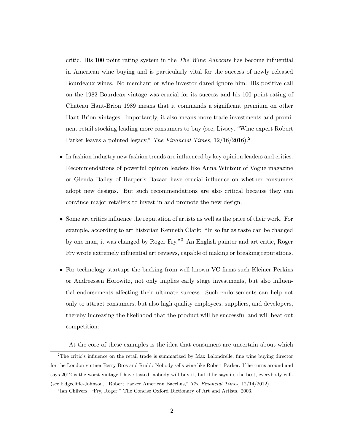critic. His 100 point rating system in the *The Wine Advocate* has become influential in American wine buying and is particularly vital for the success of newly released Bourdeaux wines. No merchant or wine investor dared ignore him. His positive call on the 1982 Bourdeax vintage was crucial for its success and his 100 point rating of Chateau Haut-Brion 1989 means that it commands a significant premium on other Haut-Brion vintages. Importantly, it also means more trade investments and prominent retail stocking leading more consumers to buy (see, Livsey, "Wine expert Robert Parker leaves a pointed legacy," *The Financial Times,* 12/16/2016).<sup>2</sup>

- In fashion industry new fashion trends are influenced by key opinion leaders and critics. Recommendations of powerful opinion leaders like Anna Wintour of Vogue magazine or Glenda Bailey of Harper's Bazaar have crucial influence on whether consumers adopt new designs. But such recommendations are also critical because they can convince major retailers to invest in and promote the new design.
- Some art critics influence the reputation of artists as well as the price of their work. For example, according to art historian Kenneth Clark: "In so far as taste can be changed by one man, it was changed by Roger Fry."<sup>3</sup> An English painter and art critic, Roger Fry wrote extremely influential art reviews, capable of making or breaking reputations.
- For technology startups the backing from well known VC firms such Kleiner Perkins or Andreessen Horowitz, not only implies early stage investments, but also influential endorsements affecting their ultimate success. Such endorsements can help not only to attract consumers, but also high quality employees, suppliers, and developers, thereby increasing the likelihood that the product will be successful and will beat out competition:

At the core of these examples is the idea that consumers are uncertain about which <sup>2</sup>The critic's influence on the retail trade is summarized by Max Lalondrelle, fine wine buying director

for the London vintner Berry Bros and Rudd: Nobody sells wine like Robert Parker. If he turns around and says 2012 is the worst vintage I have tasted, nobody will buy it, but if he says its the best, everybody will.

<sup>(</sup>see Edgecliffe-Johnson, "Robert Parker American Bacchus," The Financial Times, 12/14/2012).

<sup>&</sup>lt;sup>3</sup>Ian Chilvers. "Fry, Roger." The Concise Oxford Dictionary of Art and Artists. 2003.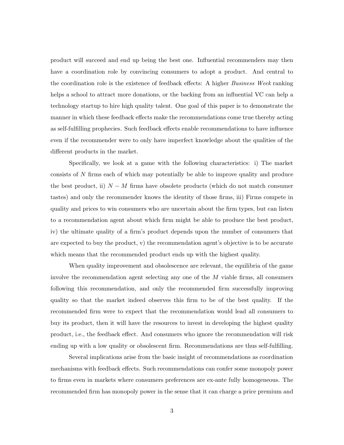product will succeed and end up being the best one. Influential recommenders may then have a coordination role by convincing consumers to adopt a product. And central to the coordination role is the existence of feedback effects: A higher *Business Week* ranking helps a school to attract more donations, or the backing from an influential VC can help a technology startup to hire high quality talent. One goal of this paper is to demonstrate the manner in which these feedback effects make the recommendations come true thereby acting as self-fulfilling prophecies. Such feedback effects enable recommendations to have influence even if the recommender were to only have imperfect knowledge about the qualities of the different products in the market.

Specifically, we look at a game with the following characteristics: i) The market consists of N firms each of which may potentially be able to improve quality and produce the best product, ii)  $N - M$  firms have obsolete products (which do not match consumer tastes) and only the recommender knows the identity of those firms, iii) Firms compete in quality and prices to win consumers who are uncertain about the firm types, but can listen to a recommendation agent about which firm might be able to produce the best product, iv) the ultimate quality of a firm's product depends upon the number of consumers that are expected to buy the product, v) the recommendation agent's objective is to be accurate which means that the recommended product ends up with the highest quality.

When quality improvement and obsolescence are relevant, the equilibria of the game involve the recommendation agent selecting any one of the M viable firms, all consumers following this recommendation, and only the recommended firm successfully improving quality so that the market indeed observes this firm to be of the best quality. If the recommended firm were to expect that the recommendation would lead all consumers to buy its product, then it will have the resources to invest in developing the highest quality product, i.e., the feedback effect. And consumers who ignore the recommendation will risk ending up with a low quality or obsolescent firm. Recommendations are thus self-fulfilling.

Several implications arise from the basic insight of recommendations as coordination mechanisms with feedback effects. Such recommendations can confer some monopoly power to firms even in markets where consumers preferences are ex-ante fully homogeneous. The recommended firm has monopoly power in the sense that it can charge a price premium and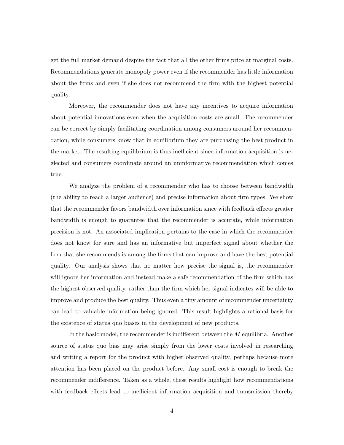get the full market demand despite the fact that all the other firms price at marginal costs. Recommendations generate monopoly power even if the recommender has little information about the firms and even if she does not recommend the firm with the highest potential quality.

Moreover, the recommender does not have any incentives to acquire information about potential innovations even when the acquisition costs are small. The recommender can be correct by simply facilitating coordination among consumers around her recommendation, while consumers know that in equilibrium they are purchasing the best product in the market. The resulting equilibrium is thus inefficient since information acquisition is neglected and consumers coordinate around an uninformative recommendation which comes true.

We analyze the problem of a recommender who has to choose between bandwidth (the ability to reach a larger audience) and precise information about firm types. We show that the recommender favors bandwidth over information since with feedback effects greater bandwidth is enough to guarantee that the recommender is accurate, while information precision is not. An associated implication pertains to the case in which the recommender does not know for sure and has an informative but imperfect signal about whether the firm that she recommends is among the firms that can improve and have the best potential quality. Our analysis shows that no matter how precise the signal is, the recommender will ignore her information and instead make a safe recommendation of the firm which has the highest observed quality, rather than the firm which her signal indicates will be able to improve and produce the best quality. Thus even a tiny amount of recommender uncertainty can lead to valuable information being ignored. This result highlights a rational basis for the existence of status quo biases in the development of new products.

In the basic model, the recommender is indifferent between the M equilibria. Another source of status quo bias may arise simply from the lower costs involved in researching and writing a report for the product with higher observed quality, perhaps because more attention has been placed on the product before. Any small cost is enough to break the recommender indifference. Taken as a whole, these results highlight how recommendations with feedback effects lead to inefficient information acquisition and transmission thereby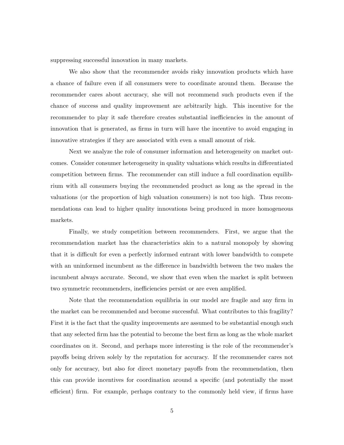suppressing successful innovation in many markets.

We also show that the recommender avoids risky innovation products which have a chance of failure even if all consumers were to coordinate around them. Because the recommender cares about accuracy, she will not recommend such products even if the chance of success and quality improvement are arbitrarily high. This incentive for the recommender to play it safe therefore creates substantial inefficiencies in the amount of innovation that is generated, as firms in turn will have the incentive to avoid engaging in innovative strategies if they are associated with even a small amount of risk.

Next we analyze the role of consumer information and heterogeneity on market outcomes. Consider consumer heterogeneity in quality valuations which results in differentiated competition between firms. The recommender can still induce a full coordination equilibrium with all consumers buying the recommended product as long as the spread in the valuations (or the proportion of high valuation consumers) is not too high. Thus recommendations can lead to higher quality innovations being produced in more homogeneous markets.

Finally, we study competition between recommenders. First, we argue that the recommendation market has the characteristics akin to a natural monopoly by showing that it is difficult for even a perfectly informed entrant with lower bandwidth to compete with an uninformed incumbent as the difference in bandwidth between the two makes the incumbent always accurate. Second, we show that even when the market is split between two symmetric recommenders, inefficiencies persist or are even amplified.

Note that the recommendation equilibria in our model are fragile and any firm in the market can be recommended and become successful. What contributes to this fragility? First it is the fact that the quality improvements are assumed to be substantial enough such that any selected firm has the potential to become the best firm as long as the whole market coordinates on it. Second, and perhaps more interesting is the role of the recommender's payoffs being driven solely by the reputation for accuracy. If the recommender cares not only for accuracy, but also for direct monetary payoffs from the recommendation, then this can provide incentives for coordination around a specific (and potentially the most efficient) firm. For example, perhaps contrary to the commonly held view, if firms have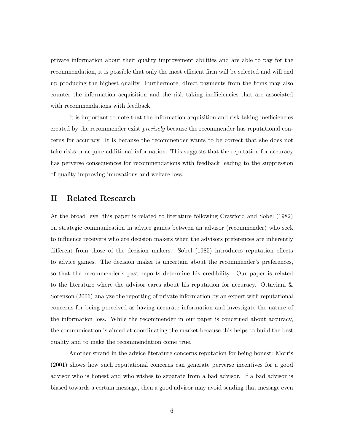private information about their quality improvement abilities and are able to pay for the recommendation, it is possible that only the most efficient firm will be selected and will end up producing the highest quality. Furthermore, direct payments from the firms may also counter the information acquisition and the risk taking inefficiencies that are associated with recommendations with feedback.

It is important to note that the information acquisition and risk taking inefficiencies created by the recommender exist *precisely* because the recommender has reputational concerns for accuracy. It is because the recommender wants to be correct that she does not take risks or acquire additional information. This suggests that the reputation for accuracy has perverse consequences for recommendations with feedback leading to the suppression of quality improving innovations and welfare loss.

## II Related Research

At the broad level this paper is related to literature following Crawford and Sobel (1982) on strategic communication in advice games between an advisor (recommender) who seek to influence receivers who are decision makers when the advisors preferences are inherently different from those of the decision makers. Sobel (1985) introduces reputation effects to advice games. The decision maker is uncertain about the recommender's preferences, so that the recommender's past reports determine his credibility. Our paper is related to the literature where the advisor cares about his reputation for accuracy. Ottaviani & Sorenson (2006) analyze the reporting of private information by an expert with reputational concerns for being perceived as having accurate information and investigate the nature of the information loss. While the recommender in our paper is concerned about accuracy, the communication is aimed at coordinating the market because this helps to build the best quality and to make the recommendation come true.

Another strand in the advice literature concerns reputation for being honest: Morris (2001) shows how such reputational concerns can generate perverse incentives for a good advisor who is honest and who wishes to separate from a bad advisor. If a bad advisor is biased towards a certain message, then a good advisor may avoid sending that message even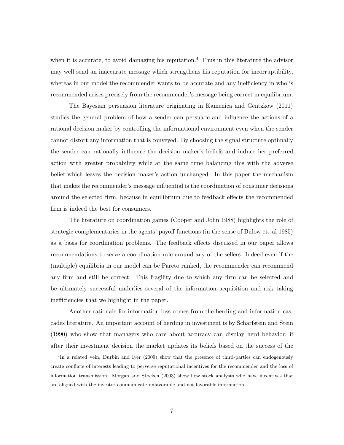when it is accurate, to avoid damaging his reputation.<sup>4</sup> Thus in this literature the advisor may well send an inaccurate message which strengthens his reputation for incorruptibility, whereas in our model the recommender wants to be accurate and any inefficiency in who is recommended arises precisely from the recommender's message being correct in equilibrium.

The Bayesian persuasion literature originating in Kamenica and Gentzkow (2011) studies the general problem of how a sender can persuade and influence the actions of a rational decision maker by controlling the informational environment even when the sender cannot distort any information that is conveyed. By choosing the signal structure optimally the sender can rationally influence the decision maker's beliefs and induce her preferred action with greater probability while at the same time balancing this with the adverse belief which leaves the decision maker's action unchanged. In this paper the mechanism that makes the recommender's message influential is the coordination of consumer decisions around the selected firm, because in equilibrium due to feedback effects the recommended firm is indeed the best for consumers.

The literature on coordination games (Cooper and John 1988) highlights the role of strategic complementaries in the agents' payoff functions (in the sense of Bulow et. al 1985) as a basis for coordination problems. The feedback effects discussed in our paper allows recommendations to serve a coordination role around any of the sellers. Indeed even if the (multiple) equilibria in our model can be Pareto ranked, the recommender can recommend any firm and still be correct. This fragility due to which any firm can be selected and be ultimately successful underlies several of the information acquisition and risk taking inefficiencies that we highlight in the paper.

Another rationale for information loss comes from the herding and information cascades literature. An important account of herding in investment is by Scharfstein and Stein (1990) who show that managers who care about accuracy can display herd behavior, if after their investment decision the market updates its beliefs based on the success of the

<sup>&</sup>lt;sup>4</sup>In a related vein, Durbin and Iyer (2009) show that the presence of third-parties can endogenously create conflicts of interests leading to perverse reputational incentives for the recommender and the loss of information transmission. Morgan and Stocken (2003) show how stock analysts who have incentives that are aligned with the investor communicate unfavorable and not favorable information.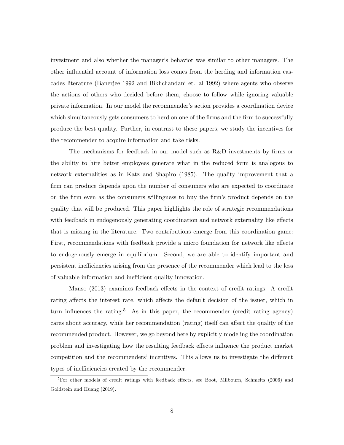investment and also whether the manager's behavior was similar to other managers. The other influential account of information loss comes from the herding and information cascades literature (Banerjee 1992 and Bikhchandani et. al 1992) where agents who observe the actions of others who decided before them, choose to follow while ignoring valuable private information. In our model the recommender's action provides a coordination device which simultaneously gets consumers to herd on one of the firms and the firm to successfully produce the best quality. Further, in contrast to these papers, we study the incentives for the recommender to acquire information and take risks.

The mechanisms for feedback in our model such as R&D investments by firms or the ability to hire better employees generate what in the reduced form is analogous to network externalities as in Katz and Shapiro (1985). The quality improvement that a firm can produce depends upon the number of consumers who are expected to coordinate on the firm even as the consumers willingness to buy the firm's product depends on the quality that will be produced. This paper highlights the role of strategic recommendations with feedback in endogenously generating coordination and network externality like effects that is missing in the literature. Two contributions emerge from this coordination game: First, recommendations with feedback provide a micro foundation for network like effects to endogenously emerge in equilibrium. Second, we are able to identify important and persistent inefficiencies arising from the presence of the recommender which lead to the loss of valuable information and inefficient quality innovation.

Manso (2013) examines feedback effects in the context of credit ratings: A credit rating affects the interest rate, which affects the default decision of the issuer, which in turn influences the rating.<sup>5</sup> As in this paper, the recommender (credit rating agency) cares about accuracy, while her recommendation (rating) itself can affect the quality of the recommended product. However, we go beyond here by explicitly modeling the coordination problem and investigating how the resulting feedback effects influence the product market competition and the recommenders' incentives. This allows us to investigate the different types of inefficiencies created by the recommender.

<sup>&</sup>lt;sup>5</sup>For other models of credit ratings with feedback effects, see Boot, Milbourn, Schmeits (2006) and Goldstein and Huang (2019).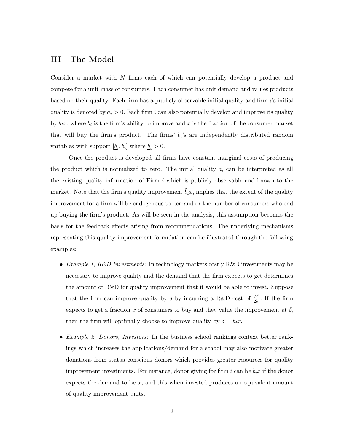## III The Model

Consider a market with N firms each of which can potentially develop a product and compete for a unit mass of consumers. Each consumer has unit demand and values products based on their quality. Each firm has a publicly observable initial quality and firm i's initial quality is denoted by  $a_i > 0$ . Each firm i can also potentially develop and improve its quality by  $\tilde{b}_i x$ , where  $\tilde{b}_i$  is the firm's ability to improve and x is the fraction of the consumer market that will buy the firm's product. The firms'  $\tilde{b}_i$ 's are independently distributed random variables with support  $[\underline{b}_i, b_i]$  where  $\underline{b}_i > 0$ .

Once the product is developed all firms have constant marginal costs of producing the product which is normalized to zero. The initial quality  $a_i$  can be interpreted as all the existing quality information of Firm  $i$  which is publicly observable and known to the market. Note that the firm's quality improvement  $\tilde{b}_i x$ , implies that the extent of the quality improvement for a firm will be endogenous to demand or the number of consumers who end up buying the firm's product. As will be seen in the analysis, this assumption becomes the basis for the feedback effects arising from recommendations. The underlying mechanisms representing this quality improvement formulation can be illustrated through the following examples:

- *Example 1, R&D Investments:* In technology markets costly R&D investments may be necessary to improve quality and the demand that the firm expects to get determines the amount of R&D for quality improvement that it would be able to invest. Suppose that the firm can improve quality by  $\delta$  by incurring a R&D cost of  $\frac{\delta^2}{\delta h}$  $\frac{\delta^2}{2b_i}$ . If the firm expects to get a fraction x of consumers to buy and they value the improvement at  $\delta$ , then the firm will optimally choose to improve quality by  $\delta = b_i x$ .
- *Example 2, Donors, Investors:* In the business school rankings context better rankings which increases the applications/demand for a school may also motivate greater donations from status conscious donors which provides greater resources for quality improvement investments. For instance, donor giving for firm i can be  $b_i x$  if the donor expects the demand to be  $x$ , and this when invested produces an equivalent amount of quality improvement units.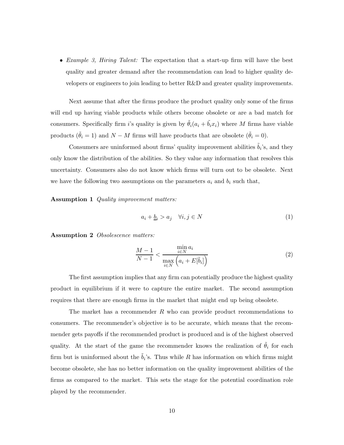• *Example 3, Hiring Talent:* The expectation that a start-up firm will have the best quality and greater demand after the recommendation can lead to higher quality developers or engineers to join leading to better R&D and greater quality improvements.

Next assume that after the firms produce the product quality only some of the firms will end up having viable products while others become obsolete or are a bad match for consumers. Specifically firm i's quality is given by  $\tilde{\theta}_i(a_i + \tilde{b}_i x_i)$  where M firms have viable products ( $\tilde{\theta}_i = 1$ ) and  $N - M$  firms will have products that are obsolete ( $\tilde{\theta}_i = 0$ ).

Consumers are uninformed about firms' quality improvement abilities  $\tilde{b}_i$ 's, and they only know the distribution of the abilities. So they value any information that resolves this uncertainty. Consumers also do not know which firms will turn out to be obsolete. Next we have the following two assumptions on the parameters  $a_i$  and  $b_i$  such that,

Assumption 1 *Quality improvement matters:*

$$
a_i + \underline{b}_i > a_j \quad \forall i, j \in N \tag{1}
$$

Assumption 2 *Obsolescence matters:*

$$
\frac{M-1}{N-1} < \frac{\min\limits_{i\in N} a_i}{\max\limits_{i\in N} \left( a_i + E[\tilde{b}_i] \right)}\tag{2}
$$

The first assumption implies that any firm can potentially produce the highest quality product in equilibrium if it were to capture the entire market. The second assumption requires that there are enough firms in the market that might end up being obsolete.

The market has a recommender  $R$  who can provide product recommendations to consumers. The recommender's objective is to be accurate, which means that the recommender gets payoffs if the recommended product is produced and is of the highest observed quality. At the start of the game the recommender knows the realization of  $\tilde{\theta}_i$  for each firm but is uninformed about the  $\tilde{b}_i$ 's. Thus while R has information on which firms might become obsolete, she has no better information on the quality improvement abilities of the firms as compared to the market. This sets the stage for the potential coordination role played by the recommender.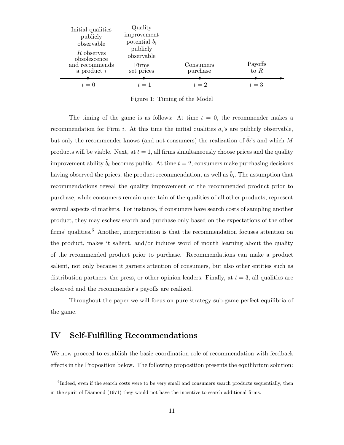| Initial qualities<br>publicly<br>observable<br>R observes<br>obsolescence | Quality<br>improvement<br>potential $b_i$<br>publicly<br>observable |                       |                   |
|---------------------------------------------------------------------------|---------------------------------------------------------------------|-----------------------|-------------------|
| and recommends<br>a product $i$                                           | Firms<br>set prices                                                 | Consumers<br>purchase | Payoffs<br>to $R$ |
| $t=0$                                                                     | $t=1$                                                               | $t=2$                 | $t=3$             |

Figure 1: Timing of the Model

The timing of the game is as follows: At time  $t = 0$ , the recommender makes a recommendation for Firm *i*. At this time the initial qualities  $a_i$ 's are publicly observable, but only the recommender knows (and not consumers) the realization of  $\tilde{\theta}_i$ 's and which M products will be viable. Next, at  $t = 1$ , all firms simultaneously choose prices and the quality improvement ability  $\tilde{b}_i$  becomes public. At time  $t = 2$ , consumers make purchasing decisions having observed the prices, the product recommendation, as well as  $\tilde{b}_i$ . The assumption that recommendations reveal the quality improvement of the recommended product prior to purchase, while consumers remain uncertain of the qualities of all other products, represent several aspects of markets. For instance, if consumers have search costs of sampling another product, they may eschew search and purchase only based on the expectations of the other firms' qualities.<sup>6</sup> Another, interpretation is that the recommendation focuses attention on the product, makes it salient, and/or induces word of mouth learning about the quality of the recommended product prior to purchase. Recommendations can make a product salient, not only because it garners attention of consumers, but also other entities such as distribution partners, the press, or other opinion leaders. Finally, at  $t = 3$ , all qualities are observed and the recommender's payoffs are realized.

Throughout the paper we will focus on pure strategy sub-game perfect equilibria of the game.

## IV Self-Fulfilling Recommendations

We now proceed to establish the basic coordination role of recommendation with feedback effects in the Proposition below. The following proposition presents the equilibrium solution:

<sup>&</sup>lt;sup>6</sup>Indeed, even if the search costs were to be very small and consumers search products sequentially, then in the spirit of Diamond (1971) they would not have the incentive to search additional firms.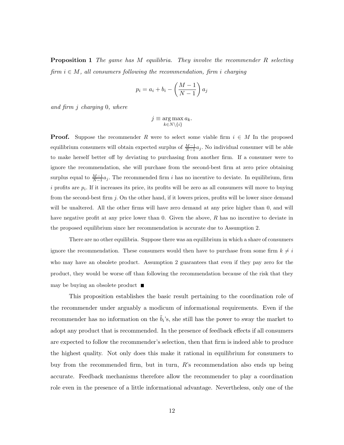Proposition 1 *The game has* M *equilibria. They involve the recommender* R *selecting firm* i ∈ M*, all consumers following the recommendation, firm* i *charging*

$$
p_i = a_i + b_i - \left(\frac{M-1}{N-1}\right) a_j
$$

*and firm* j *charging* 0*, where*

$$
j \equiv \argmax_{k \in N \setminus \{i\}} a_k.
$$

**Proof.** Suppose the recommender R were to select some viable firm  $i \in M$  In the proposed equilibrium consumers will obtain expected surplus of  $\frac{M-1}{N-1}a_j$ . No individual consumer will be able to make herself better off by deviating to purchasing from another firm. If a consumer were to ignore the recommendation, she will purchase from the second-best firm at zero price obtaining surplus equal to  $\frac{M-1}{N-1}a_j$ . The recommended firm i has no incentive to deviate. In equilibrium, firm i profits are  $p_i$ . If it increases its price, its profits will be zero as all consumers will move to buying from the second-best firm j. On the other hand, if it lowers prices, profits will be lower since demand will be unaltered. All the other firms will have zero demand at any price higher than 0, and will have negative profit at any price lower than 0. Given the above,  $R$  has no incentive to deviate in the proposed equilibrium since her recommendation is accurate due to Assumption 2.

There are no other equilibria. Suppose there was an equilibrium in which a share of consumers ignore the recommendation. These consumers would then have to purchase from some firm  $k \neq i$ who may have an obsolete product. Assumption 2 guarantees that even if they pay zero for the product, they would be worse off than following the recommendation because of the risk that they may be buying an obsolete product  $\blacksquare$ 

This proposition establishes the basic result pertaining to the coordination role of the recommender under arguably a modicum of informational requirements. Even if the recommender has no information on the  $\tilde{b}_i$ 's, she still has the power to sway the market to adopt any product that is recommended. In the presence of feedback effects if all consumers are expected to follow the recommender's selection, then that firm is indeed able to produce the highest quality. Not only does this make it rational in equilibrium for consumers to buy from the recommended firm, but in turn, R's recommendation also ends up being accurate. Feedback mechanisms therefore allow the recommender to play a coordination role even in the presence of a little informational advantage. Nevertheless, only one of the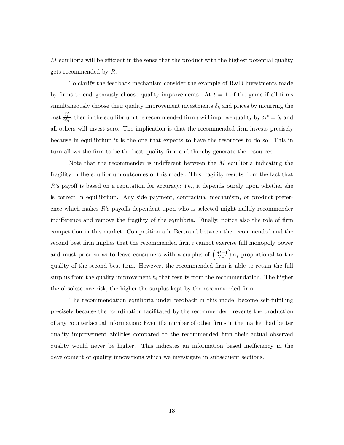$M$  equilibria will be efficient in the sense that the product with the highest potential quality gets recommended by R.

To clarify the feedback mechanism consider the example of R&D investments made by firms to endogenously choose quality improvements. At  $t = 1$  of the game if all firms simultaneously choose their quality improvement investments  $\delta_k$  and prices by incurring the cost  $\frac{\delta_k^2}{2b_k}$ , then in the equilibrium the recommended firm i will improve quality by  $\delta_i^* = b_i$  and all others will invest zero. The implication is that the recommended firm invests precisely because in equilibrium it is the one that expects to have the resources to do so. This in turn allows the firm to be the best quality firm and thereby generate the resources.

Note that the recommender is indifferent between the  $M$  equilibria indicating the fragility in the equilibrium outcomes of this model. This fragility results from the fact that  $R$ 's payoff is based on a reputation for accuracy: i.e., it depends purely upon whether she is correct in equilibrium. Any side payment, contractual mechanism, or product preference which makes R's payoffs dependent upon who is selected might nullify recommender indifference and remove the fragility of the equilibria. Finally, notice also the role of firm competition in this market. Competition a la Bertrand between the recommended and the second best firm implies that the recommended firm i cannot exercise full monopoly power and must price so as to leave consumers with a surplus of  $\left(\frac{M-1}{N-1}\right)$  $\frac{M-1}{N-1}$  a<sub>j</sub> proportional to the quality of the second best firm. However, the recommended firm is able to retain the full surplus from the quality improvement  $b_i$  that results from the recommendation. The higher the obsolescence risk, the higher the surplus kept by the recommended firm.

The recommendation equilibria under feedback in this model become self-fulfilling precisely because the coordination facilitated by the recommender prevents the production of any counterfactual information: Even if a number of other firms in the market had better quality improvement abilities compared to the recommended firm their actual observed quality would never be higher. This indicates an information based inefficiency in the development of quality innovations which we investigate in subsequent sections.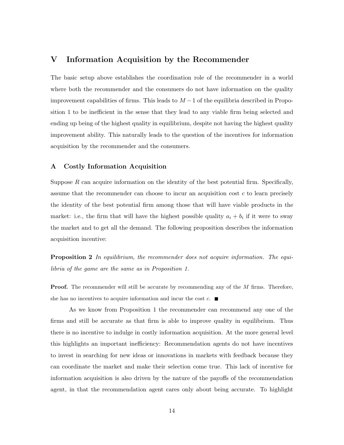### V Information Acquisition by the Recommender

The basic setup above establishes the coordination role of the recommender in a world where both the recommender and the consumers do not have information on the quality improvement capabilities of firms. This leads to  $M-1$  of the equilibria described in Proposition 1 to be inefficient in the sense that they lead to any viable firm being selected and ending up being of the highest quality in equilibrium, despite not having the highest quality improvement ability. This naturally leads to the question of the incentives for information acquisition by the recommender and the consumers.

### A Costly Information Acquisition

Suppose  $R$  can acquire information on the identity of the best potential firm. Specifically, assume that the recommender can choose to incur an acquisition cost  $c$  to learn precisely the identity of the best potential firm among those that will have viable products in the market: i.e., the firm that will have the highest possible quality  $a_i + b_i$  if it were to sway the market and to get all the demand. The following proposition describes the information acquisition incentive:

Proposition 2 *In equilibrium, the recommender does not acquire information. The equilibria of the game are the same as in Proposition 1.*

**Proof.** The recommender will still be accurate by recommending any of the  $M$  firms. Therefore, she has no incentives to acquire information and incur the cost  $c$ .

As we know from Proposition 1 the recommender can recommend any one of the firms and still be accurate as that firm is able to improve quality in equilibrium. Thus there is no incentive to indulge in costly information acquisition. At the more general level this highlights an important inefficiency: Recommendation agents do not have incentives to invest in searching for new ideas or innovations in markets with feedback because they can coordinate the market and make their selection come true. This lack of incentive for information acquisition is also driven by the nature of the payoffs of the recommendation agent, in that the recommendation agent cares only about being accurate. To highlight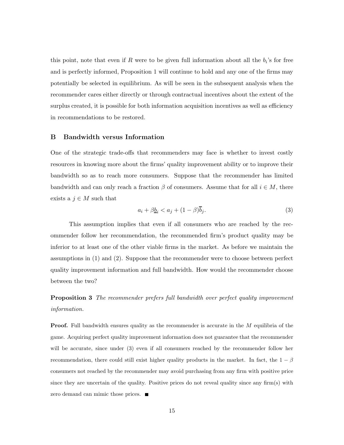this point, note that even if R were to be given full information about all the  $b_i$ 's for free and is perfectly informed, Proposition 1 will continue to hold and any one of the firms may potentially be selected in equilibrium. As will be seen in the subsequent analysis when the recommender cares either directly or through contractual incentives about the extent of the surplus created, it is possible for both information acquisition incentives as well as efficiency in recommendations to be restored.

### B Bandwidth versus Information

One of the strategic trade-offs that recommenders may face is whether to invest costly resources in knowing more about the firms' quality improvement ability or to improve their bandwidth so as to reach more consumers. Suppose that the recommender has limited bandwidth and can only reach a fraction  $\beta$  of consumers. Assume that for all  $i \in M$ , there exists a  $j \in M$  such that

$$
a_i + \beta \underline{b}_i < a_j + (1 - \beta)\overline{b}_j. \tag{3}
$$

This assumption implies that even if all consumers who are reached by the recommender follow her recommendation, the recommended firm's product quality may be inferior to at least one of the other viable firms in the market. As before we maintain the assumptions in (1) and (2). Suppose that the recommender were to choose between perfect quality improvement information and full bandwidth. How would the recommender choose between the two?

Proposition 3 *The recommender prefers full bandwidth over perfect quality improvement information.*

**Proof.** Full bandwidth ensures quality as the recommender is accurate in the  $M$  equilibria of the game. Acquiring perfect quality improvement information does not guarantee that the recommender will be accurate, since under (3) even if all consumers reached by the recommender follow her recommendation, there could still exist higher quality products in the market. In fact, the  $1 - \beta$ consumers not reached by the recommender may avoid purchasing from any firm with positive price since they are uncertain of the quality. Positive prices do not reveal quality since any firm(s) with zero demand can mimic those prices.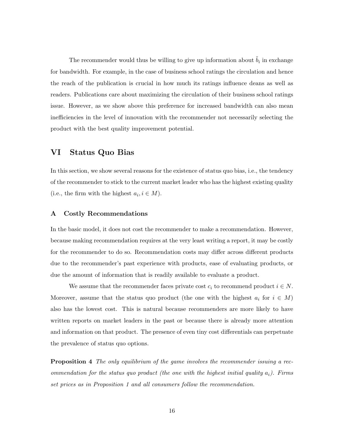The recommender would thus be willing to give up information about  $\tilde{b}_i$  in exchange for bandwidth. For example, in the case of business school ratings the circulation and hence the reach of the publication is crucial in how much its ratings influence deans as well as readers. Publications care about maximizing the circulation of their business school ratings issue. However, as we show above this preference for increased bandwidth can also mean inefficiencies in the level of innovation with the recommender not necessarily selecting the product with the best quality improvement potential.

## VI Status Quo Bias

In this section, we show several reasons for the existence of status quo bias, i.e., the tendency of the recommender to stick to the current market leader who has the highest existing quality (i.e., the firm with the highest  $a_i, i \in M$ ).

### A Costly Recommendations

In the basic model, it does not cost the recommender to make a recommendation. However, because making recommendation requires at the very least writing a report, it may be costly for the recommender to do so. Recommendation costs may differ across different products due to the recommender's past experience with products, ease of evaluating products, or due the amount of information that is readily available to evaluate a product.

We assume that the recommender faces private cost  $c_i$  to recommend product  $i \in N$ . Moreover, assume that the status quo product (the one with the highest  $a_i$  for  $i \in M$ ) also has the lowest cost. This is natural because recommenders are more likely to have written reports on market leaders in the past or because there is already more attention and information on that product. The presence of even tiny cost differentials can perpetuate the prevalence of status quo options.

Proposition 4 *The only equilibrium of the game involves the recommender issuing a recommendation for the status quo product (the one with the highest initial quality* ai*). Firms set prices as in Proposition 1 and all consumers follow the recommendation.*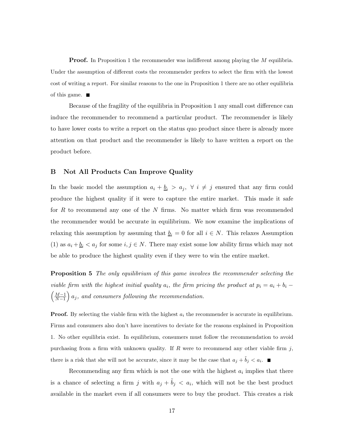**Proof.** In Proposition 1 the recommender was indifferent among playing the M equilibria. Under the assumption of different costs the recommender prefers to select the firm with the lowest cost of writing a report. For similar reasons to the one in Proposition 1 there are no other equilibria of this game.  $\blacksquare$ 

Because of the fragility of the equilibria in Proposition 1 any small cost difference can induce the recommender to recommend a particular product. The recommender is likely to have lower costs to write a report on the status quo product since there is already more attention on that product and the recommender is likely to have written a report on the product before.

### B Not All Products Can Improve Quality

In the basic model the assumption  $a_i + \underline{b}_i > a_j$ ,  $\forall i \neq j$  ensured that any firm could produce the highest quality if it were to capture the entire market. This made it safe for R to recommend any one of the N firms. No matter which firm was recommended the recommender would be accurate in equilibrium. We now examine the implications of relaxing this assumption by assuming that  $\underline{b}_i = 0$  for all  $i \in N$ . This relaxes Assumption (1) as  $a_i + \underline{b}_i < a_j$  for some  $i, j \in N$ . There may exist some low ability firms which may not be able to produce the highest quality even if they were to win the entire market.

Proposition 5 *The only equilibrium of this game involves the recommender selecting the viable firm with the highest initial quality*  $a_i$ , the firm pricing the product at  $p_i = a_i + b_i$  $\left( \frac{M-1}{2} \right)$  $\left(\frac{M-1}{N-1}\right)a_j$ , and consumers following the recommendation.

**Proof.** By selecting the viable firm with the highest  $a_i$  the recommender is accurate in equilibrium. Firms and consumers also don't have incentives to deviate for the reasons explained in Proposition 1. No other equilibria exist. In equilibrium, consumers must follow the recommendation to avoid purchasing from a firm with unknown quality. If  $R$  were to recommend any other viable firm  $j$ , there is a risk that she will not be accurate, since it may be the case that  $a_j + \tilde{b}_j < a_i$ .

Recommending any firm which is not the one with the highest  $a_i$  implies that there is a chance of selecting a firm j with  $a_j + \tilde{b}_j < a_i$ , which will not be the best product available in the market even if all consumers were to buy the product. This creates a risk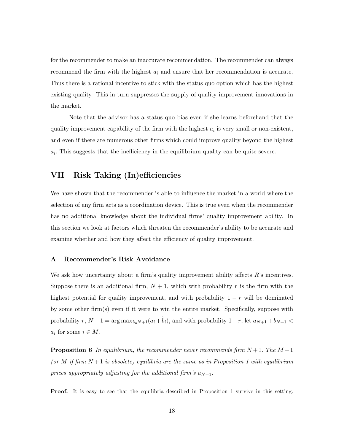for the recommender to make an inaccurate recommendation. The recommender can always recommend the firm with the highest  $a_i$  and ensure that her recommendation is accurate. Thus there is a rational incentive to stick with the status quo option which has the highest existing quality. This in turn suppresses the supply of quality improvement innovations in the market.

Note that the advisor has a status quo bias even if she learns beforehand that the quality improvement capability of the firm with the highest  $a_i$  is very small or non-existent, and even if there are numerous other firms which could improve quality beyond the highest  $a_i$ . This suggests that the inefficiency in the equilibrium quality can be quite severe.

## VII Risk Taking (In)efficiencies

We have shown that the recommender is able to influence the market in a world where the selection of any firm acts as a coordination device. This is true even when the recommender has no additional knowledge about the individual firms' quality improvement ability. In this section we look at factors which threaten the recommender's ability to be accurate and examine whether and how they affect the efficiency of quality improvement.

### A Recommender's Risk Avoidance

We ask how uncertainty about a firm's quality improvement ability affects  $R$ 's incentives. Suppose there is an additional firm,  $N+1$ , which with probability r is the firm with the highest potential for quality improvement, and with probability  $1 - r$  will be dominated by some other firm(s) even if it were to win the entire market. Specifically, suppose with probability  $r, N+1 = \arg \max_{i \in N+1} (a_i + \tilde{b}_i)$ , and with probability  $1-r$ , let  $a_{N+1} + b_{N+1} <$  $a_i$  for some  $i \in M$ .

Proposition 6 *In equilibrium, the recommender never recommends firm* N + 1. *The* M −1 (or M if firm  $N+1$  is obsolete) equilibria are the same as in Proposition 1 with equilibrium *prices appropriately adjusting for the additional firm's*  $a_{N+1}$ .

Proof. It is easy to see that the equilibria described in Proposition 1 survive in this setting.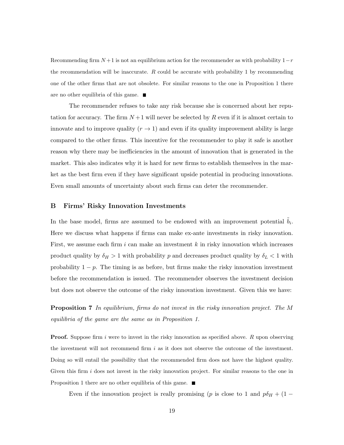Recommending firm  $N+1$  is not an equilibrium action for the recommender as with probability  $1-r$ the recommendation will be inaccurate.  $R$  could be accurate with probability 1 by recommending one of the other firms that are not obsolete. For similar reasons to the one in Proposition 1 there are no other equilibria of this game.

The recommender refuses to take any risk because she is concerned about her reputation for accuracy. The firm  $N+1$  will never be selected by R even if it is almost certain to innovate and to improve quality  $(r \to 1)$  and even if its quality improvement ability is large compared to the other firms. This incentive for the recommender to play it safe is another reason why there may be inefficiencies in the amount of innovation that is generated in the market. This also indicates why it is hard for new firms to establish themselves in the market as the best firm even if they have significant upside potential in producing innovations. Even small amounts of uncertainty about such firms can deter the recommender.

#### B Firms' Risky Innovation Investments

In the base model, firms are assumed to be endowed with an improvement potential  $\tilde{b}_i$ . Here we discuss what happens if firms can make ex-ante investments in risky innovation. First, we assume each firm i can make an investment  $k$  in risky innovation which increases product quality by  $\delta_H > 1$  with probability p and decreases product quality by  $\delta_L < 1$  with probability  $1 - p$ . The timing is as before, but firms make the risky innovation investment before the recommendation is issued. The recommender observes the investment decision but does not observe the outcome of the risky innovation investment. Given this we have:

Proposition 7 *In equilibrium, firms do not invest in the risky innovation project. The* M *equilibria of the game are the same as in Proposition 1.*

**Proof.** Suppose firm i were to invest in the risky innovation as specified above.  $R$  upon observing the investment will not recommend firm  $i$  as it does not observe the outcome of the investment. Doing so will entail the possibility that the recommended firm does not have the highest quality. Given this firm i does not invest in the risky innovation project. For similar reasons to the one in Proposition 1 there are no other equilibria of this game.

Even if the innovation project is really promising (p is close to 1 and  $p\delta_H + (1 - p\delta_H)$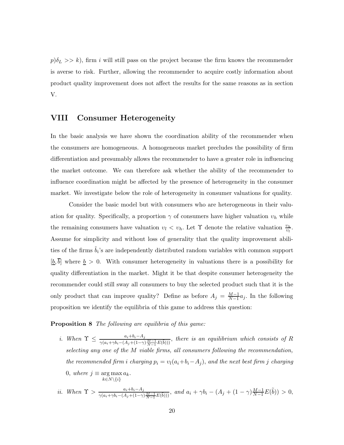$p(\delta_L >> k)$ , firm i will still pass on the project because the firm knows the recommender is averse to risk. Further, allowing the recommender to acquire costly information about product quality improvement does not affect the results for the same reasons as in section V.

### VIII Consumer Heterogeneity

In the basic analysis we have shown the coordination ability of the recommender when the consumers are homogeneous. A homogeneous market precludes the possibility of firm differentiation and presumably allows the recommender to have a greater role in influencing the market outcome. We can therefore ask whether the ability of the recommender to influence coordination might be affected by the presence of heterogeneity in the consumer market. We investigate below the role of heterogeneity in consumer valuations for quality.

Consider the basic model but with consumers who are heterogeneous in their valuation for quality. Specifically, a proportion  $\gamma$  of consumers have higher valuation  $v_h$  while the remaining consumers have valuation  $v_l < v_h$ . Let  $\Upsilon$  denote the relative valuation  $\frac{v_h}{v_l}$ . Assume for simplicity and without loss of generality that the quality improvement abilities of the firms  $\tilde{b}_i$ 's are independently distributed random variables with common support  $[\underline{b}, \overline{b}]$  where  $\underline{b} > 0$ . With consumer heterogeneity in valuations there is a possibility for quality differentiation in the market. Might it be that despite consumer heterogeneity the recommender could still sway all consumers to buy the selected product such that it is the only product that can improve quality? Define as before  $A_j = \frac{M-1}{N-1}$  $\frac{M-1}{N-1}a_j$ . In the following proposition we identify the equilibria of this game to address this question:

Proposition 8 *The following are equilibria of this game:*

- *i.* When  $\Upsilon \leq \frac{a_i + b_i A_j}{\gamma(a_i + \gamma b_i (A_j + (1-\gamma)\frac{M-1}{N-1}E(\tilde{b})))}$ , there is an equilibrium which consists of R *selecting any one of the* M *viable firms, all consumers following the recommendation, the recommended firm i charging*  $p_i = v_i(a_i + b_i - A_j)$ , and the next best firm j charging 0, *where*  $j \equiv \arg \max a_k$ .  $k \in N \setminus \{i\}$
- *ii.* When  $\Upsilon > \frac{a_i + b_i A_j}{\gamma(a_i + \gamma b_i (A_j + (1 \gamma) \frac{M-1}{N-1} E(\tilde{b})))}$ , and  $a_i + \gamma b_i (A_j + (1 \gamma) \frac{M-1}{N-1} E(\tilde{b})) > 0$ ,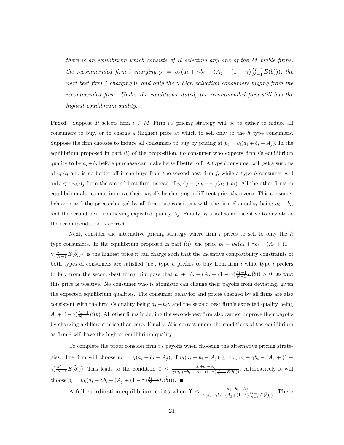*there is an equilibrium which consists of* R *selecting any one of the* M *viable firms, the recommended firm i charging*  $p_i = v_h(a_i + \gamma b_i - (A_j + (1 - \gamma) \frac{M-1}{N-1} E(\tilde{b})))$ , *the next best firm j charging* 0, *and only the*  $\gamma$  *high valuation consumers buying from the recommended firm. Under the conditions stated, the recommended firm still has the highest equilibrium quality.*

**Proof.** Suppose R selects firm  $i \in M$ . Firm i's pricing strategy will be to either to induce all consumers to buy, or to charge a (higher) price at which to sell only to the  $h$  type consumers. Suppose the firm chooses to induce all consumers to buy by pricing at  $p_i = v_i(a_i + b_i - A_j)$ . In the equilibrium proposed in part (i) of the proposition, no consumer who expects firm  $i$ 's equilibrium quality to be  $a_i + b_i$  before purchase can make herself better off: A type l consumer will get a surplus of  $v_l A_j$  and is no better off if she buys from the second-best firm j, while a type h consumer will only get  $v_h A_j$  from the second-best firm instead of  $v_l A_j + (v_h - v_l)(a_i + b_i)$ . All the other firms in equilibrium also cannot improve their payoffs by charging a different price than zero. This consumer behavior and the prices charged by all firms are consistent with the firm i's quality being  $a_i + b_i$ , and the second-best firm having expected quality  $A_j$ . Finally, R also has no incentive to deviate as the recommendation is correct.

Next, consider the alternative pricing strategy where firm  $i$  prices to sell to only the  $h$ type consumers. In the equilibrium proposed in part (ii), the price  $p_i = v_h(a_i + \gamma b_i - (A_j + (1 \gamma(\frac{M-1}{N-1}E(\tilde{b})))$ , is the highest price it can charge such that the incentive compatibility constraints of both types of consumers are satisfied (i.e., type h prefers to buy from firm i while type l prefers to buy from the second-best firm). Suppose that  $a_i + \gamma b_i - (A_j + (1 - \gamma) \frac{M-1}{N-1} E(\tilde{b})) > 0$ , so that this price is positive. No consumer who is atomistic can change their payoffs from deviating, given the expected equilibrium qualities. The consumer behavior and prices charged by all firms are also consistent with the firm i's quality being  $a_i + b_i \gamma$  and the second best firm's expected quality being  $A_j+(1-\gamma)\frac{M-1}{N-1}E(\tilde{b})$ . All other firms including the second-best firm also cannot improve their payoffs by charging a different price than zero. Finally,  $R$  is correct under the conditions of the equilibrium as firm  $i$  will have the highest equilibrium quality.

To complete the proof consider firm  $i$ 's payoffs when choosing the alternative pricing strategies: The firm will choose  $p_i = v_l(a_i + b_i - A_j)$ , if  $v_l(a_i + b_i - A_j) \geq \gamma v_h(a_i + \gamma b_i - (A_j + (1 \gamma(\frac{M-1}{N-1}E(\tilde{b})))$ . This leads to the condition  $\Upsilon \leq \frac{a_i+b_i-A_j}{\gamma(a_i+\gamma b_i-(A_i+(1-\gamma))})}$  $\frac{a_i + b_i - A_j}{\gamma(a_i + \gamma b_i - (A_j + (1 - \gamma)\frac{M-1}{N-1}E(\tilde{b})))}$ . Alternatively it will choose  $p_i = v_h(a_i + \gamma b_i - (A_j + (1 - \gamma) \frac{M-1}{N-1} E(\tilde{b}))).$ 

A full coordination equilibrium exists when  $\Upsilon \leq \frac{a_i + b_i - A_j}{\gamma(a_i + \gamma b_i - (A_j + (1 - \gamma) \frac{M-1}{N-1} E(\tilde{b})))}$ . There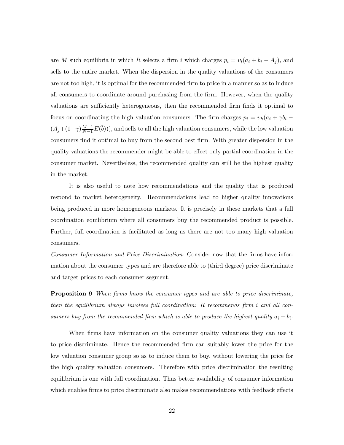are M such equilibria in which R selects a firm i which charges  $p_i = v_i(a_i + b_i - A_j)$ , and sells to the entire market. When the dispersion in the quality valuations of the consumers are not too high, it is optimal for the recommended firm to price in a manner so as to induce all consumers to coordinate around purchasing from the firm. However, when the quality valuations are sufficiently heterogeneous, then the recommended firm finds it optimal to focus on coordinating the high valuation consumers. The firm charges  $p_i = v_h(a_i + \gamma b_i (A_j+(1-\gamma)\frac{M-1}{N-1}E(\tilde{b}))$ , and sells to all the high valuation consumers, while the low valuation consumers find it optimal to buy from the second best firm. With greater dispersion in the quality valuations the recommender might be able to effect only partial coordination in the consumer market. Nevertheless, the recommended quality can still be the highest quality in the market.

It is also useful to note how recommendations and the quality that is produced respond to market heterogeneity. Recommendations lead to higher quality innovations being produced in more homogeneous markets. It is precisely in these markets that a full coordination equilibrium where all consumers buy the recommended product is possible. Further, full coordination is facilitated as long as there are not too many high valuation consumers.

*Consumer Information and Price Discrimination*: Consider now that the firms have information about the consumer types and are therefore able to (third degree) price discriminate and target prices to each consumer segment.

Proposition 9 *When firms know the consumer types and are able to price discriminate, then the equilibrium always involves full coordination:* R *recommends firm* i *and all consumers buy from the recommended firm which is able to produce the highest quality*  $a_i + \tilde{b}_i$ .

When firms have information on the consumer quality valuations they can use it to price discriminate. Hence the recommended firm can suitably lower the price for the low valuation consumer group so as to induce them to buy, without lowering the price for the high quality valuation consumers. Therefore with price discrimination the resulting equilibrium is one with full coordination. Thus better availability of consumer information which enables firms to price discriminate also makes recommendations with feedback effects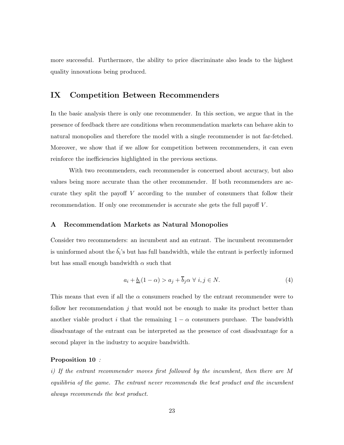more successful. Furthermore, the ability to price discriminate also leads to the highest quality innovations being produced.

## IX Competition Between Recommenders

In the basic analysis there is only one recommender. In this section, we argue that in the presence of feedback there are conditions when recommendation markets can behave akin to natural monopolies and therefore the model with a single recommender is not far-fetched. Moreover, we show that if we allow for competition between recommenders, it can even reinforce the inefficiencies highlighted in the previous sections.

With two recommenders, each recommender is concerned about accuracy, but also values being more accurate than the other recommender. If both recommenders are accurate they split the payoff V according to the number of consumers that follow their recommendation. If only one recommender is accurate she gets the full payoff V.

### A Recommendation Markets as Natural Monopolies

Consider two recommenders: an incumbent and an entrant. The incumbent recommender is uninformed about the  $\tilde{b}_i$ 's but has full bandwidth, while the entrant is perfectly informed but has small enough bandwidth  $\alpha$  such that

$$
a_i + \underline{b}_i (1 - \alpha) > a_j + \overline{b}_j \alpha \ \forall \ i, j \in N. \tag{4}
$$

This means that even if all the  $\alpha$  consumers reached by the entrant recommender were to follow her recommendation  $j$  that would not be enough to make its product better than another viable product i that the remaining  $1 - \alpha$  consumers purchase. The bandwidth disadvantage of the entrant can be interpreted as the presence of cost disadvantage for a second player in the industry to acquire bandwidth.

#### Proposition 10 *:*

*i) If the entrant recommender moves first followed by the incumbent, then there are* M *equilibria of the game. The entrant never recommends the best product and the incumbent always recommends the best product.*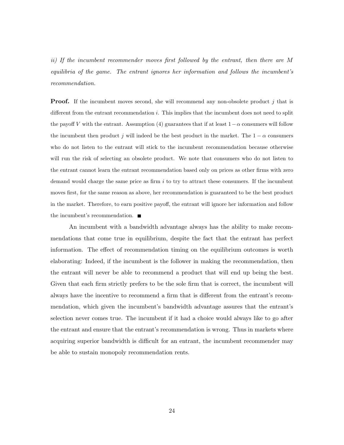*ii) If the incumbent recommender moves first followed by the entrant, then there are* M *equilibria of the game. The entrant ignores her information and follows the incumbent's recommendation.*

**Proof.** If the incumbent moves second, she will recommend any non-obsolete product j that is different from the entrant recommendation  $i$ . This implies that the incumbent does not need to split the payoff V with the entrant. Assumption (4) guarantees that if at least  $1-\alpha$  consumers will follow the incumbent then product j will indeed be the best product in the market. The  $1 - \alpha$  consumers who do not listen to the entrant will stick to the incumbent recommendation because otherwise will run the risk of selecting an obsolete product. We note that consumers who do not listen to the entrant cannot learn the entrant recommendation based only on prices as other firms with zero demand would charge the same price as firm  $i$  to try to attract these consumers. If the incumbent moves first, for the same reason as above, her recommendation is guaranteed to be the best product in the market. Therefore, to earn positive payoff, the entrant will ignore her information and follow the incumbent's recommendation.

An incumbent with a bandwidth advantage always has the ability to make recommendations that come true in equilibrium, despite the fact that the entrant has perfect information. The effect of recommendation timing on the equilibrium outcomes is worth elaborating: Indeed, if the incumbent is the follower in making the recommendation, then the entrant will never be able to recommend a product that will end up being the best. Given that each firm strictly prefers to be the sole firm that is correct, the incumbent will always have the incentive to recommend a firm that is different from the entrant's recommendation, which given the incumbent's bandwidth advantage assures that the entrant's selection never comes true. The incumbent if it had a choice would always like to go after the entrant and ensure that the entrant's recommendation is wrong. Thus in markets where acquiring superior bandwidth is difficult for an entrant, the incumbent recommender may be able to sustain monopoly recommendation rents.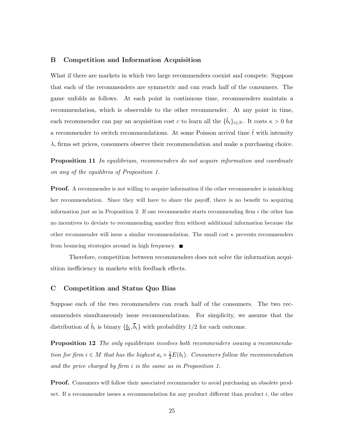### B Competition and Information Acquisition

What if there are markets in which two large recommenders coexist and compete. Suppose that each of the recommenders are symmetric and can reach half of the consumers. The game unfolds as follows. At each point in continuous time, recommenders maintain a recommendation, which is observable to the other recommender. At any point in time, each recommender can pay an acquisition cost c to learn all the  $\{\tilde{b}_i\}_{i\in N}$ . It costs  $\kappa > 0$  for a recommender to switch recommendations. At some Poisson arrival time  $\tilde{t}$  with intensity  $\lambda$ , firms set prices, consumers observe their recommendation and make a purchasing choice.

Proposition 11 *In equilibrium, recommenders do not acquire information and coordinate on any of the equilibria of Proposition 1.*

**Proof.** A recommender is not willing to acquire information if the other recommender is mimicking her recommendation. Since they will have to share the payoff, there is no benefit to acquiring information just as in Proposition 2. If one recommender starts recommending firm  $i$  the other has no incentives to deviate to recommending another firm without additional information because the other recommender will issue a similar recommendation. The small cost  $\kappa$  prevents recommenders from bouncing strategies around in high frequency.  $\blacksquare$ 

Therefore, competition between recommenders does not solve the information acquisition inefficiency in markets with feedback effects.

### C Competition and Status Quo Bias

Suppose each of the two recommenders can reach half of the consumers. The two recommenders simultaneously issue recommendations. For simplicity, we assume that the distribution of  $\tilde{b}_i$  is binary  $\{\underline{b}_i, \overline{b}_i\}$  with probability 1/2 for each outcome.

Proposition 12 *The only equilibrium involves both recommenders issuing a recommendation for firm*  $i \in M$  *that has the highest*  $a_i + \frac{1}{2}E(b_i)$ *. Consumers follow the recommendation and the price charged by firm* i *is the same as in Proposition 1.*

**Proof.** Consumers will follow their associated recommender to avoid purchasing an obsolete product. If a recommender issues a recommendation for any product different than product  $i$ , the other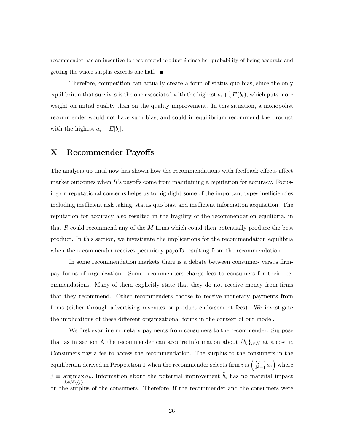recommender has an incentive to recommend product i since her probability of being accurate and getting the whole surplus exceeds one half.  $\blacksquare$ 

Therefore, competition can actually create a form of status quo bias, since the only equilibrium that survives is the one associated with the highest  $a_i + \frac{1}{2}E(b_i)$ , which puts more weight on initial quality than on the quality improvement. In this situation, a monopolist recommender would not have such bias, and could in equilibrium recommend the product with the highest  $a_i + E[b_i]$ .

### X Recommender Payoffs

The analysis up until now has shown how the recommendations with feedback effects affect market outcomes when R's payoffs come from maintaining a reputation for accuracy. Focusing on reputational concerns helps us to highlight some of the important types inefficiencies including inefficient risk taking, status quo bias, and inefficient information acquisition. The reputation for accuracy also resulted in the fragility of the recommendation equilibria, in that R could recommend any of the  $M$  firms which could then potentially produce the best product. In this section, we investigate the implications for the recommendation equilibria when the recommender receives pecuniary payoffs resulting from the recommendation.

In some recommendation markets there is a debate between consumer- versus firmpay forms of organization. Some recommenders charge fees to consumers for their recommendations. Many of them explicitly state that they do not receive money from firms that they recommend. Other recommenders choose to receive monetary payments from firms (either through advertising revenues or product endorsement fees). We investigate the implications of these different organizational forms in the context of our model.

We first examine monetary payments from consumers to the recommender. Suppose that as in section A the recommender can acquire information about  $\{\tilde{b}_i\}_{i\in\mathbb{N}}$  at a cost c. Consumers pay a fee to access the recommendation. The surplus to the consumers in the equilibrium derived in Proposition 1 when the recommender selects firm i is  $\left(\frac{M-1}{N-1}\right)$  $\frac{M-1}{N-1}a_j$  where  $j \equiv \arg \max a_k$ . Information about the potential improvement  $\tilde{b}_i$  has no material impact  $k \in N \setminus \{i\}$ on the surplus of the consumers. Therefore, if the recommender and the consumers were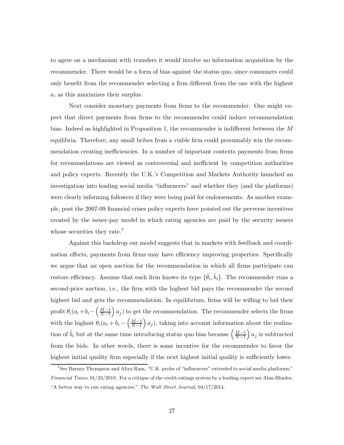to agree on a mechanism with transfers it would involve no information acquisition by the recommender. There would be a form of bias against the status quo, since consumers could only benefit from the recommender selecting a firm different from the one with the highest  $a_i$  as this maximizes their surplus.

Next consider monetary payments from firms to the recommender. One might expect that direct payments from firms to the recommender could induce recommendation bias. Indeed as highlighted in Proposition 1, the recommender is indifferent between the M equilibria. Therefore, any small bribes from a viable firm could presumably win the recommendation creating inefficiencies. In a number of important contexts payments from firms for recommedations are viewed as controversial and inefficient by competition authorities and policy experts. Recently the U.K.'s Competition and Markets Authority launched an investigation into leading social media "influencers" and whether they (and the platforms) were clearly informing followers if they were being paid for endorsements. As another example, post the 2007-09 financial crises policy experts have pointed out the perverse incentives created by the issuer-pay model in which rating agencies are paid by the security issuers whose securities they rate.<sup>7</sup>

Against this backdrop our model suggests that in markets with feedback and coordination effects, payments from firms may have efficiency improving properties. Specifically we argue that an open auction for the recommendation in which all firms participate can restore efficiency. Assume that each firm knows its type  $\{\tilde{\theta}_i, \tilde{b}_i\}$ . The recommender runs a second-price auction, i.e., the firm with the highest bid pays the recommender the second highest bid and gets the recommendation. In equilibrium, firms will be willing to bid their profit  $\theta_i(a_i+b_i-\left(\frac{M-1}{N-1}\right)$  $\frac{M-1}{N-1}$   $a_j$ ) to get the recommendation. The recommender selects the firms with the highest  $\theta_i(a_i + b_i - \left(\frac{M-1}{N-1}\right))$  $\left(\frac{M-1}{N-1}\right) a_j$ , taking into account information about the realization of  $\tilde{b}_i$  but at the same time introducing status quo bias because  $\left(\frac{M-1}{N-1}\right)$  $\frac{M-1}{N-1}$  a<sub>j</sub> is subtracted from the bids. In other words, there is some incentive for the recommender to favor the highest initial quality firm especially if the next highest initial quality is sufficiently lower.

<sup>&</sup>lt;sup>7</sup>See Barney Thompson and Aliya Ram, "U.K. probe of "influencers" extended to social media platforms," Financial Times, 01/23/2019. For a critique of the credit-ratings system by a leading expert see Alan Blinder, "A better way to run rating agencies," The Wall Street Journal, 04/17/2014.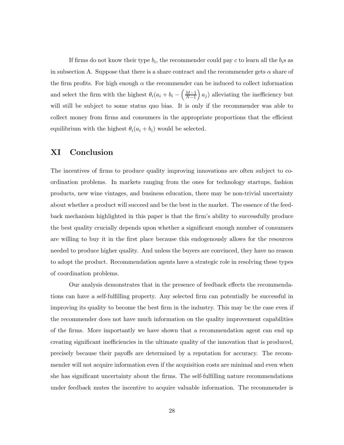If firms do not know their type  $b_i$ , the recommender could pay c to learn all the  $b_i$ s as in subsection A. Suppose that there is a share contract and the recommender gets  $\alpha$  share of the firm profits. For high enough  $\alpha$  the recommender can be induced to collect information and select the firm with the highest  $\theta_i(a_i + b_i - \left(\frac{M-1}{N-1}\right))$  $\left(\frac{M-1}{N-1}\right) a_j$  alleviating the inefficiency but will still be subject to some status quo bias. It is only if the recommender was able to collect money from firms and consumers in the appropriate proportions that the efficient equilibrium with the highest  $\theta_i(a_i + b_i)$  would be selected.

## XI Conclusion

The incentives of firms to produce quality improving innovations are often subject to coordination problems. In markets ranging from the ones for technology startups, fashion products, new wine vintages, and business education, there may be non-trivial uncertainty about whether a product will succeed and be the best in the market. The essence of the feedback mechanism highlighted in this paper is that the firm's ability to successfully produce the best quality crucially depends upon whether a significant enough number of consumers are willing to buy it in the first place because this endogenously allows for the resources needed to produce higher quality. And unless the buyers are convinced, they have no reason to adopt the product. Recommendation agents have a strategic role in resolving these types of coordination problems.

Our analysis demonstrates that in the presence of feedback effects the recommendations can have a self-fulfilling property. Any selected firm can potentially be successful in improving its quality to become the best firm in the industry. This may be the case even if the recommender does not have much information on the quality improvement capabilities of the firms. More importantly we have shown that a recommendation agent can end up creating significant inefficiencies in the ultimate quality of the innovation that is produced, precisely because their payoffs are determined by a reputation for accuracy. The recommender will not acquire information even if the acquisition costs are minimal and even when she has significant uncertainty about the firms. The self-fulfilling nature recommendations under feedback mutes the incentive to acquire valuable information. The recommender is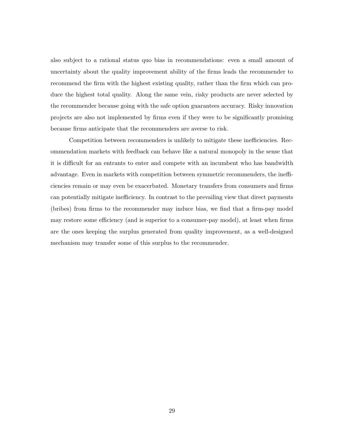also subject to a rational status quo bias in recommendations: even a small amount of uncertainty about the quality improvement ability of the firms leads the recommender to recommend the firm with the highest existing quality, rather than the firm which can produce the highest total quality. Along the same vein, risky products are never selected by the recommender because going with the safe option guarantees accuracy. Risky innovation projects are also not implemented by firms even if they were to be significantly promising because firms anticipate that the recommenders are averse to risk.

Competition between recommenders is unlikely to mitigate these inefficiencies. Recommendation markets with feedback can behave like a natural monopoly in the sense that it is difficult for an entrants to enter and compete with an incumbent who has bandwidth advantage. Even in markets with competition between symmetric recommenders, the inefficiencies remain or may even be exacerbated. Monetary transfers from consumers and firms can potentially mitigate inefficiency. In contrast to the prevailing view that direct payments (bribes) from firms to the recommender may induce bias, we find that a firm-pay model may restore some efficiency (and is superior to a consumer-pay model), at least when firms are the ones keeping the surplus generated from quality improvement, as a well-designed mechanism may transfer some of this surplus to the recommender.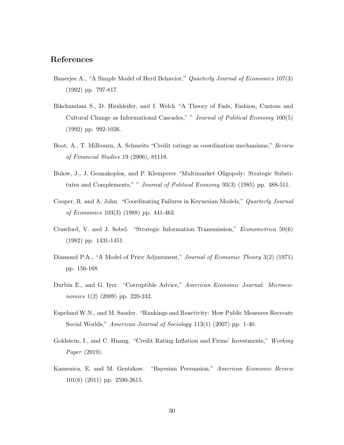## References

- Banerjee A., "A Simple Model of Herd Behavior," *Quarterly Journal of Economics* 107(3) (1992) pp. 797-817.
- Bikchandani S., D. Hirshleifer, and I. Welch "A Theory of Fads, Fashion, Custom and Cultural Change as Informational Cascades," " *Journal of Political Economy* 100(5) (1992) pp. 992-1026.
- Boot, A., T. Milbourn, A. Schmeits "Credit ratings as coordination mechanisms," *Review of Financial Studies* 19 (2006), 81118.
- Bulow, J., J. Geanakoplos, and P. Klemperer "Multimarket Oligopoly: Strategic Substitutes and Complements," " *Journal of Political Economy* 93(3) (1985) pp. 488-511.
- Cooper, R. and A. John. "Coordinating Failures in Keynesian Models," *Quarterly Journal of Economics* 103(3) (1988) pp. 441-463.
- Crawford, V. and J. Sobel. "Strategic Information Transmission," *Econometrica* 50(6) (1982) pp. 1431-1451.
- Diamond P.A., "A Model of Price Adjustment," *Journal of Economic Theory* 3(2) (1971) pp. 156-168.
- Durbin E., and G. Iyer. "Corruptible Advice," *American Economic Journal: Microeconomics* 1(2) (2009) pp. 220-242.
- Espeland W.N., and M. Sauder. "Rankings and Reactivity: How Public Measures Recreate Social Worlds," *American Journal of Sociology* 113(1) (2007) pp. 1-40.
- Goldstein, I., and C. Huang. "Credit Rating Inflation and Firms' Investments," *Working Paper* (2019).
- Kamenica, E. and M. Gentzkow. "Bayesian Persuasion," *American Economic Review* 101(6) (2011) pp. 2590-2615.